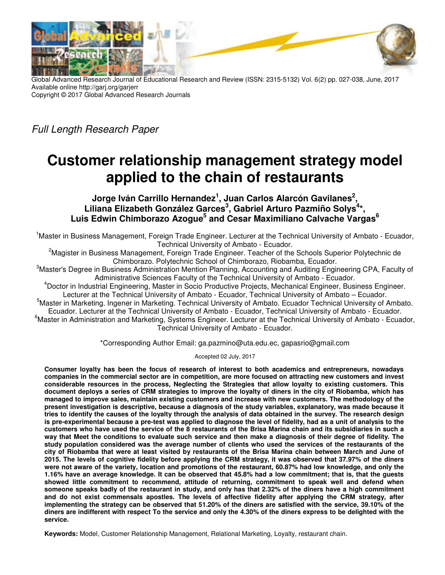

Global Advanced Research Journal of Educational Research and Review (ISSN: 2315-5132) Vol. 6(2) pp. 027-038, June, 2017 Available online http://garj.org/garjerr Copyright © 2017 Global Advanced Research Journals

Full Length Research Paper

# **Customer relationship management strategy model applied to the chain of restaurants**

**Jorge Iván Carrillo Hernandez<sup>1</sup> , Juan Carlos Alarcón Gavilanes<sup>2</sup> ,**  Liliana Elizabeth González Garces<sup>3</sup>, Gabriel Arturo Pazmiño Solys<sup>4\*</sup>, **Luis Edwin Chimborazo Azogue<sup>5</sup> and Cesar Maximiliano Calvache Vargas<sup>6</sup>** 

<sup>1</sup>Master in Business Management, Foreign Trade Engineer. Lecturer at the Technical University of Ambato - Ecuador, Technical University of Ambato - Ecuador.

<sup>2</sup>Magister in Business Management, Foreign Trade Engineer. Teacher of the Schools Superior Polytechnic de Chimborazo. Polytechnic School of Chimborazo, Riobamba, Ecuador.

<sup>3</sup>Master's Degree in Business Administration Mention Planning, Accounting and Auditing Engineering CPA, Faculty of Administrative Sciences Faculty of the Technical University of Ambato - Ecuador.

<sup>4</sup>Doctor in Industrial Engineering, Master in Socio Productive Projects, Mechanical Engineer, Business Engineer. Lecturer at the Technical University of Ambato - Ecuador, Technical University of Ambato – Ecuador.

<sup>5</sup>Master in Marketing. Ingener in Marketing. Technical University of Ambato. Ecuador Technical University of Ambato. Ecuador. Lecturer at the Technical University of Ambato - Ecuador, Technical University of Ambato - Ecuador.  $^6$ Master in Administration and Marketing, Systems Engineer. Lecturer at the Technical University of Ambato - Ecuador, Technical University of Ambato - Ecuador.

\*Corresponding Author Email: ga.pazmino@uta.edu.ec, gapasrio@gmail.com

Accepted 02 July, 2017

**Consumer loyalty has been the focus of research of interest to both academics and entrepreneurs, nowadays companies in the commercial sector are in competition, are more focused on attracting new customers and invest considerable resources in the process, Neglecting the Strategies that allow loyalty to existing customers. This document deploys a series of CRM strategies to improve the loyalty of diners in the city of Riobamba, which has managed to improve sales, maintain existing customers and increase with new customers. The methodology of the present investigation is descriptive, because a diagnosis of the study variables, explanatory, was made because it tries to identify the causes of the loyalty through the analysis of data obtained in the survey. The research design is pre-experimental because a pre-test was applied to diagnose the level of fidelity, had as a unit of analysis to the customers who have used the service of the 8 restaurants of the Brisa Marina chain and its subsidiaries in such a way that Meet the conditions to evaluate such service and then make a diagnosis of their degree of fidelity. The study population considered was the average number of clients who used the services of the restaurants of the city of Riobamba that were at least visited by restaurants of the Brisa Marina chain between March and June of 2015. The levels of cognitive fidelity before applying the CRM strategy, it was observed that 37.97% of the diners were not aware of the variety, location and promotions of the restaurant, 60.87% had low knowledge, and only the 1.16% have an average knowledge. It can be observed that 45.8% had a low commitment; that is, that the guests showed little commitment to recommend, attitude of returning, commitment to speak well and defend when someone speaks badly of the restaurant in study, and only has that 2.32% of the diners have a high commitment and do not exist commensals apostles. The levels of affective fidelity after applying the CRM strategy, after implementing the strategy can be observed that 51.20% of the diners are satisfied with the service, 39.10% of the diners are indifferent with respect To the service and only the 4.30% of the diners express to be delighted with the service.** 

**Keywords:** Model, Customer Relationship Management, Relational Marketing, Loyalty, restaurant chain.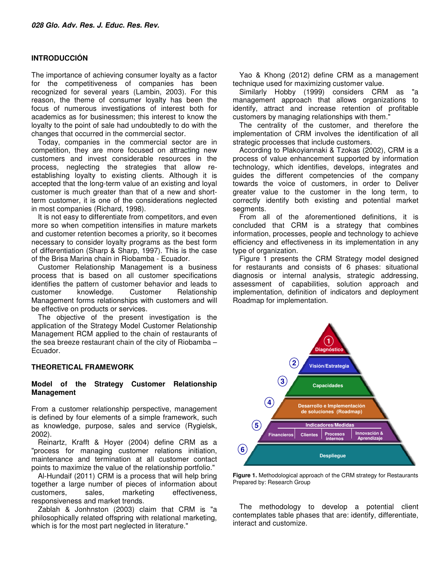#### **INTRODUCCIÓN**

The importance of achieving consumer loyalty as a factor for the competitiveness of companies has been recognized for several years (Lambin, 2003). For this reason, the theme of consumer loyalty has been the focus of numerous investigations of interest both for academics as for businessmen; this interest to know the loyalty to the point of sale had undoubtedly to do with the changes that occurred in the commercial sector.

Today, companies in the commercial sector are in competition, they are more focused on attracting new customers and invest considerable resources in the process, neglecting the strategies that allow reestablishing loyalty to existing clients. Although it is accepted that the long-term value of an existing and loyal customer is much greater than that of a new and shortterm customer, it is one of the considerations neglected in most companies (Richard, 1998).

It is not easy to differentiate from competitors, and even more so when competition intensifies in mature markets and customer retention becomes a priority, so it becomes necessary to consider loyalty programs as the best form of differentiation (Sharp & Sharp, 1997). This is the case of the Brisa Marina chain in Riobamba - Ecuador.

Customer Relationship Management is a business process that is based on all customer specifications identifies the pattern of customer behavior and leads to customer knowledge. Customer Relationship Management forms relationships with customers and will be effective on products or services.

The objective of the present investigation is the application of the Strategy Model Customer Relationship Management RCM applied to the chain of restaurants of the sea breeze restaurant chain of the city of Riobamba – Ecuador.

## **THEORETICAL FRAMEWORK**

#### **Model of the Strategy Customer Relationship Management**

From a customer relationship perspective, management is defined by four elements of a simple framework, such as knowledge, purpose, sales and service (Rygielsk, 2002).

Reinartz, Krafft & Hoyer (2004) define CRM as a "process for managing customer relations initiation, maintenance and termination at all customer contact points to maximize the value of the relationship portfolio."

Al-Hundaif (2011) CRM is a process that will help bring together a large number of pieces of information about customers, sales, marketing effectiveness, responsiveness and market trends.

Zablah & Jonhnston (2003) claim that CRM is "a philosophically related offspring with relational marketing, which is for the most part neglected in literature."

Yao & Khong (2012) define CRM as a management technique used for maximizing customer value.

Similarly Hobby (1999) considers CRM as "a management approach that allows organizations to identify, attract and increase retention of profitable customers by managing relationships with them."

The centrality of the customer, and therefore the implementation of CRM involves the identification of all strategic processes that include customers.

According to Plakoyiannaki & Tzokas (2002), CRM is a process of value enhancement supported by information technology, which identifies, develops, integrates and guides the different competencies of the company towards the voice of customers, in order to Deliver greater value to the customer in the long term, to correctly identify both existing and potential market segments.

From all of the aforementioned definitions, it is concluded that CRM is a strategy that combines information, processes, people and technology to achieve efficiency and effectiveness in its implementation in any type of organization.

Figure 1 presents the CRM Strategy model designed for restaurants and consists of 6 phases: situational diagnosis or internal analysis, strategic addressing, assessment of capabilities, solution approach and implementation, definition of indicators and deployment Roadmap for implementation.



**Figure 1.** Methodological approach of the CRM strategy for Restaurants Prepared by: Research Group

The methodology to develop a potential client contemplates table phases that are: identify, differentiate, interact and customize.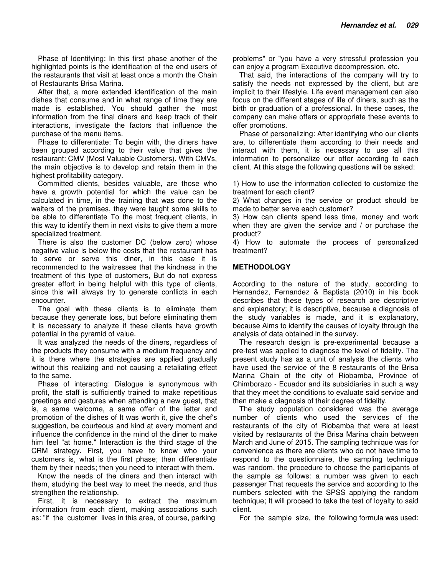Phase of Identifying: In this first phase another of the highlighted points is the identification of the end users of the restaurants that visit at least once a month the Chain of Restaurants Brisa Marina.

After that, a more extended identification of the main dishes that consume and in what range of time they are made is established. You should gather the most information from the final diners and keep track of their interactions, investigate the factors that influence the purchase of the menu items.

Phase to differentiate: To begin with, the diners have been grouped according to their value that gives the restaurant: CMV (Most Valuable Customers). With CMVs, the main objective is to develop and retain them in the highest profitability category.

Committed clients, besides valuable, are those who have a growth potential for which the value can be calculated in time, in the training that was done to the waiters of the premises, they were taught some skills to be able to differentiate To the most frequent clients, in this way to identify them in next visits to give them a more specialized treatment.

There is also the customer DC (below zero) whose negative value is below the costs that the restaurant has to serve or serve this diner, in this case it is recommended to the waitresses that the kindness in the treatment of this type of customers, But do not express greater effort in being helpful with this type of clients, since this will always try to generate conflicts in each encounter.

The goal with these clients is to eliminate them because they generate loss, but before eliminating them it is necessary to analyze if these clients have growth potential in the pyramid of value.

It was analyzed the needs of the diners, regardless of the products they consume with a medium frequency and it is there where the strategies are applied gradually without this realizing and not causing a retaliating effect to the same.

Phase of interacting: Dialogue is synonymous with profit, the staff is sufficiently trained to make repetitious greetings and gestures when attending a new guest, that is, a same welcome, a same offer of the letter and promotion of the dishes of It was worth it, give the chef's suggestion, be courteous and kind at every moment and influence the confidence in the mind of the diner to make him feel "at home." Interaction is the third stage of the CRM strategy. First, you have to know who your customers is, what is the first phase; then differentiate them by their needs; then you need to interact with them.

Know the needs of the diners and then interact with them, studying the best way to meet the needs, and thus strengthen the relationship.

First, it is necessary to extract the maximum information from each client, making associations such as: "if the customer lives in this area, of course, parking

problems" or "you have a very stressful profession you can enjoy a program Executive decompression, etc.

That said, the interactions of the company will try to satisfy the needs not expressed by the client, but are implicit to their lifestyle. Life event management can also focus on the different stages of life of diners, such as the birth or graduation of a professional. In these cases, the company can make offers or appropriate these events to offer promotions.

Phase of personalizing: After identifying who our clients are, to differentiate them according to their needs and interact with them, it is necessary to use all this information to personalize our offer according to each client. At this stage the following questions will be asked:

1) How to use the information collected to customize the treatment for each client?

2) What changes in the service or product should be made to better serve each customer?

3) How can clients spend less time, money and work when they are given the service and / or purchase the product?

4) How to automate the process of personalized treatment?

#### **METHODOLOGY**

According to the nature of the study, according to Hernandez, Fernandez & Baptista (2010) in his book describes that these types of research are descriptive and explanatory; it is descriptive, because a diagnosis of the study variables is made, and it is explanatory, because Aims to identify the causes of loyalty through the analysis of data obtained in the survey.

The research design is pre-experimental because a pre-test was applied to diagnose the level of fidelity. The present study has as a unit of analysis the clients who have used the service of the 8 restaurants of the Brisa Marina Chain of the city of Riobamba, Province of Chimborazo - Ecuador and its subsidiaries in such a way that they meet the conditions to evaluate said service and then make a diagnosis of their degree of fidelity.

The study population considered was the average number of clients who used the services of the restaurants of the city of Riobamba that were at least visited by restaurants of the Brisa Marina chain between March and June of 2015. The sampling technique was for convenience as there are clients who do not have time to respond to the questionnaire, the sampling technique was random, the procedure to choose the participants of the sample as follows: a number was given to each passenger That requests the service and according to the numbers selected with the SPSS applying the random technique; It will proceed to take the test of loyalty to said client.

For the sample size, the following formula was used: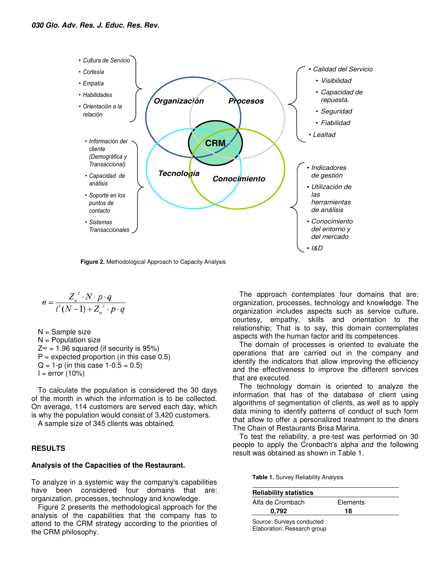

**Figure 2.** Methodological Approach to Capacity Analysis

$$
n = \frac{Z_a^{2} \cdot N \cdot p \cdot q}{i^{2}(N-1) + Z_a^{2} \cdot p \cdot q}
$$

N = Sample size  $N =$  Population size  $Z^{\infty}$  = 1.96 squared (if security is 95%)  $P =$  expected proportion (in this case 0.5)  $Q = 1-p$  (in this case  $1-0.5 = 0.5$ )  $I = error (10%)$ 

To calculate the population is considered the 30 days of the month in which the information is to be collected. On average, 114 customers are served each day, which is why the population would consist of 3,420 customers.

A sample size of 345 clients was obtained.

## **RESULTS**

#### **Analysis of the Capacities of the Restaurant.**

To analyze in a systemic way the company's capabilities have been considered four domains that are: organization, processes, technology and knowledge.

Figure 2 presents the methodological approach for the analysis of the capabilities that the company has to attend to the CRM strategy according to the priorities of the CRM philosophy.

The approach contemplates four domains that are: organization, processes, technology and knowledge. The organization includes aspects such as service culture, courtesy, empathy, skills and orientation to the relationship; That is to say, this domain contemplates aspects with the human factor and its competences.

The domain of processes is oriented to evaluate the operations that are carried out in the company and identify the indicators that allow improving the efficiency and the effectiveness to improve the different services that are executed.

The technology domain is oriented to analyze the information that has of the database of client using algorithms of segmentation of clients, as well as to apply data mining to identify patterns of conduct of such form that allow to offer a personalized treatment to the diners The Chain of Restaurants Brisa Marina.

To test the reliability, a pre-test was performed on 30 people to apply the Cronbach's alpha and the following result was obtained as shown in Table 1.

**Table 1.** Survey Reliability Analysis

| <b>Reliability statistics</b>                            |          |
|----------------------------------------------------------|----------|
| Alfa de Crombach                                         | Elements |
| 0.792                                                    | 18       |
| Source: Surveys conducted<br>Elaboration: Research group |          |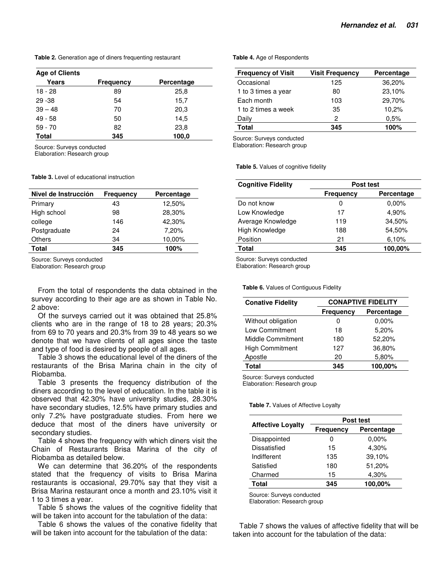**Table 2.** Generation age of diners frequenting restaurant

| <b>Age of Clients</b> |                  |            |
|-----------------------|------------------|------------|
| Years                 | <b>Frequency</b> | Percentage |
| $18 - 28$             | 89               | 25,8       |
| $29 - 38$             | 54               | 15,7       |
| $39 - 48$             | 70               | 20,3       |
| $49 - 58$             | 50               | 14,5       |
| $59 - 70$             | 82               | 23,8       |
| <b>Total</b>          | 345              | 100,0      |

Source: Surveys conducted

Elaboration: Research group

**Table 3.** Level of educational instruction

| Nivel de Instrucción | <b>Frequency</b> | Percentage |
|----------------------|------------------|------------|
| Primary              | 43               | 12,50%     |
| High school          | 98               | 28,30%     |
| college              | 146              | 42,30%     |
| Postgraduate         | 24               | 7,20%      |
| <b>Others</b>        | 34               | 10,00%     |
| Total                | 345              | 100%       |

Source: Surveys conducted

Elaboration: Research group

From the total of respondents the data obtained in the survey according to their age are as shown in Table No. 2 above:

Of the surveys carried out it was obtained that 25.8% clients who are in the range of 18 to 28 years; 20.3% from 69 to 70 years and 20.3% from 39 to 48 years so we denote that we have clients of all ages since the taste and type of food is desired by people of all ages.

Table 3 shows the educational level of the diners of the restaurants of the Brisa Marina chain in the city of Riobamba.

Table 3 presents the frequency distribution of the diners according to the level of education. In the table it is observed that 42.30% have university studies, 28.30% have secondary studies, 12.5% have primary studies and only 7.2% have postgraduate studies. From here we deduce that most of the diners have university or secondary studies.

Table 4 shows the frequency with which diners visit the Chain of Restaurants Brisa Marina of the city of Riobamba as detailed below.

We can determine that 36.20% of the respondents stated that the frequency of visits to Brisa Marina restaurants is occasional, 29.70% say that they visit a Brisa Marina restaurant once a month and 23.10% visit it 1 to 3 times a year.

Table 5 shows the values of the cognitive fidelity that will be taken into account for the tabulation of the data:

Table 6 shows the values of the conative fidelity that will be taken into account for the tabulation of the data:

**Table 4.** Age of Respondents

| <b>Frequency of Visit</b> | <b>Visit Frequency</b> | Percentage |
|---------------------------|------------------------|------------|
| Occasional                | 125                    | 36,20%     |
| 1 to 3 times a year       | 80                     | 23,10%     |
| Each month                | 103                    | 29,70%     |
| 1 to 2 times a week       | 35                     | 10,2%      |
| Daily                     | 2                      | 0.5%       |
| <b>Total</b>              | 345                    | 100%       |

Source: Surveys conducted

Elaboration: Research group

**Table 5.** Values of cognitive fidelity

| <b>Cognitive Fidelity</b> | Post test        |            |  |
|---------------------------|------------------|------------|--|
|                           | <b>Frequency</b> | Percentage |  |
| Do not know               | 0                | $0.00\%$   |  |
| Low Knowledge             | 17               | 4,90%      |  |
| Average Knowledge         | 119              | 34,50%     |  |
| High Knowledge            | 188              | 54,50%     |  |
| Position                  | 21               | 6.10%      |  |
| <b>Total</b>              | 345              | 100,00%    |  |
|                           |                  |            |  |

Source: Surveys conducted

Elaboration: Research group

**Table 6.** Values of Contiguous Fidelity

| <b>Conative Fidelity</b> | <b>CONAPTIVE FIDELITY</b> |            |  |
|--------------------------|---------------------------|------------|--|
|                          | <b>Frequency</b>          | Percentage |  |
| Without obligation       | 0                         | 0.00%      |  |
| Low Commitment           | 18                        | 5,20%      |  |
| <b>Middle Commitment</b> | 180                       | 52,20%     |  |
| <b>High Commitment</b>   | 127                       | 36,80%     |  |
| Apostle                  | 20                        | 5,80%      |  |
| Total                    | 345                       | 100,00%    |  |

Source: Surveys conducted

Elaboration: Research group

**Table 7.** Values of Affective Loyalty

|                          |           | Post test  |  |
|--------------------------|-----------|------------|--|
| <b>Affective Loyalty</b> | Frequency | Percentage |  |
| Disappointed             | O         | $0.00\%$   |  |
| Dissatisfied             | 15        | 4,30%      |  |
| Indifferent              | 135       | 39,10%     |  |
| Satisfied                | 180       | 51,20%     |  |
| Charmed                  | 15        | 4,30%      |  |
| <b>Total</b>             | 345       | 100,00%    |  |

Source: Surveys conducted

Elaboration: Research group

Table 7 shows the values of affective fidelity that will be taken into account for the tabulation of the data: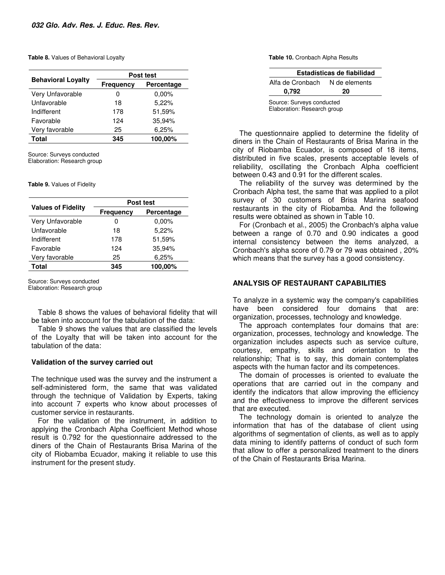#### **Table 8.** Values of Behavioral Loyalty

|                           | Post test               |          |  |
|---------------------------|-------------------------|----------|--|
| <b>Behavioral Loyalty</b> | Percentage<br>Frequency |          |  |
| Very Unfavorable          | 0                       | $0.00\%$ |  |
| Unfavorable               | 18                      | 5,22%    |  |
| Indifferent               | 178                     | 51,59%   |  |
| Favorable                 | 124                     | 35,94%   |  |
| Very favorable            | 25                      | 6.25%    |  |
| Total                     | 345                     | 100,00%  |  |

Source: Surveys conducted Elaboration: Research group

**Table 9.** Values of Fidelity

|                           | Post test        |            |
|---------------------------|------------------|------------|
| <b>Values of Fidelity</b> | <b>Frequency</b> | Percentage |
| Very Unfavorable          | 0                | $0.00\%$   |
| Unfavorable               | 18               | 5,22%      |
| Indifferent               | 178              | 51,59%     |
| Favorable                 | 124              | 35,94%     |
| Very favorable            | 25               | 6,25%      |
| Total                     | 345              | 100,00%    |

Source: Surveys conducted Elaboration: Research group

Table 8 shows the values of behavioral fidelity that will be taken into account for the tabulation of the data:

Table 9 shows the values that are classified the levels of the Loyalty that will be taken into account for the tabulation of the data:

#### **Validation of the survey carried out**

The technique used was the survey and the instrument a self-administered form, the same that was validated through the technique of Validation by Experts, taking into account 7 experts who know about processes of customer service in restaurants.

For the validation of the instrument, in addition to applying the Cronbach Alpha Coefficient Method whose result is 0.792 for the questionnaire addressed to the diners of the Chain of Restaurants Brisa Marina of the city of Riobamba Ecuador, making it reliable to use this instrument for the present study.

**Table 10.** Cronbach Alpha Results

| Estadísticas de fiabilidad                               |               |  |  |
|----------------------------------------------------------|---------------|--|--|
| Alfa de Cronbach                                         | N de elements |  |  |
| 0.792                                                    | 20            |  |  |
| Source: Surveys conducted<br>Elaboration: Research group |               |  |  |

The questionnaire applied to determine the fidelity of diners in the Chain of Restaurants of Brisa Marina in the city of Riobamba Ecuador, is composed of 18 items, distributed in five scales, presents acceptable levels of reliability, oscillating the Cronbach Alpha coefficient between 0.43 and 0.91 for the different scales.

The reliability of the survey was determined by the Cronbach Alpha test, the same that was applied to a pilot survey of 30 customers of Brisa Marina seafood restaurants in the city of Riobamba. And the following results were obtained as shown in Table 10.

For (Cronbach et al., 2005) the Cronbach's alpha value between a range of 0.70 and 0.90 indicates a good internal consistency between the items analyzed, a Cronbach's alpha score of 0.79 or 79 was obtained , 20% which means that the survey has a good consistency.

## **ANALYSIS OF RESTAURANT CAPABILITIES**

To analyze in a systemic way the company's capabilities have been considered four domains that are: organization, processes, technology and knowledge.

The approach contemplates four domains that are: organization, processes, technology and knowledge. The organization includes aspects such as service culture, courtesy, empathy, skills and orientation to the relationship; That is to say, this domain contemplates aspects with the human factor and its competences.

The domain of processes is oriented to evaluate the operations that are carried out in the company and identify the indicators that allow improving the efficiency and the effectiveness to improve the different services that are executed.

The technology domain is oriented to analyze the information that has of the database of client using algorithms of segmentation of clients, as well as to apply data mining to identify patterns of conduct of such form that allow to offer a personalized treatment to the diners of the Chain of Restaurants Brisa Marina.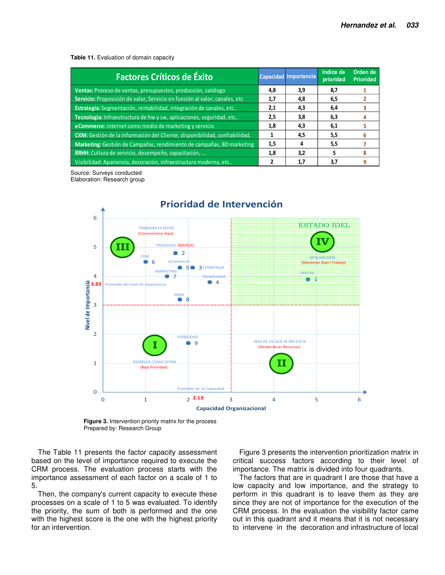**Table 11.** Evaluation of domain capacity

| <b>Factores Críticos de Éxito</b>                                          |     | Capacidad Importancia | Indice de<br>prioridad | Orden de<br><b>Prioridad</b> |
|----------------------------------------------------------------------------|-----|-----------------------|------------------------|------------------------------|
| Ventas: Proceso de ventas, presupuestos, producción, catálogo              | 4,8 | 3,9                   | 8,7                    |                              |
| Servicio: Proposición de valor, Servicio en función al valor, canales, etc | 1,7 | 4,8                   | 6,5                    |                              |
| Estrategia: Segmentación, rentabilidad, integración de canales, etc        | 2,1 | 4,3                   | 6,4                    |                              |
| Tecnología: Infraestructura de hw y sw, aplicaciones, seguridad, etc       | 2,5 | 3,8                   | 6,3                    |                              |
| e Commerce: internet como medio de marketing y servicio                    | 1,8 | 4.3                   | 6,1                    |                              |
| CKM: Gestión de la Información del Cliente, disponibilidad, confiabilidad, |     | 4,5                   | 5,5                    |                              |
| Marketing: Gestión de Campañas, rendimiento de campañas, BD marketing      | 1,5 |                       | 5,5                    |                              |
| RRHH: Cultura de servicio, desempeño, capacitación,                        | 1,8 | 3.2                   | 5                      |                              |
| Visibilidad: Apariencia, decoración, infraestructura moderna, etc          |     | 1,7                   | 3,7                    |                              |

Source: Surveys conducted Elaboration: Research group



**Figure 3.** Intervention priority matrix for the process Prepared by: Research Group

The Table 11 presents the factor capacity assessment based on the level of importance required to execute the CRM process. The evaluation process starts with the importance assessment of each factor on a scale of 1 to 5.

Then, the company's current capacity to execute these processes on a scale of 1 to 5 was evaluated. To identify the priority, the sum of both is performed and the one with the highest score is the one with the highest priority for an intervention.

Figure 3 presents the intervention prioritization matrix in critical success factors according to their level of importance. The matrix is divided into four quadrants.

The factors that are in quadrant I are those that have a low capacity and low importance, and the strategy to perform in this quadrant is to leave them as they are since they are not of importance for the execution of the CRM process. In the evaluation the visibility factor came out in this quadrant and it means that it is not necessary to intervene in the decoration and infrastructure of local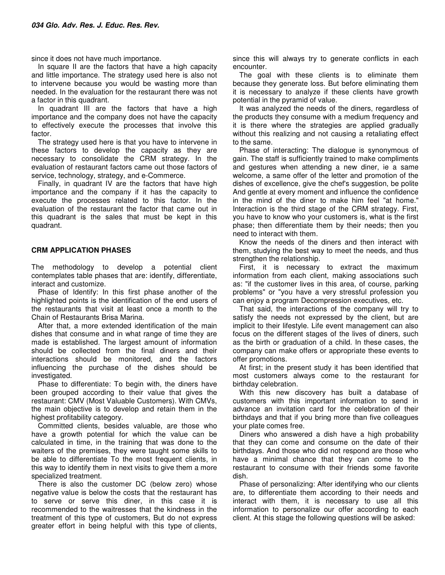since it does not have much importance.

In square II are the factors that have a high capacity and little importance. The strategy used here is also not to intervene because you would be wasting more than needed. In the evaluation for the restaurant there was not a factor in this quadrant.

In quadrant III are the factors that have a high importance and the company does not have the capacity to effectively execute the processes that involve this factor.

The strategy used here is that you have to intervene in these factors to develop the capacity as they are necessary to consolidate the CRM strategy. In the evaluation of restaurant factors came out those factors of service, technology, strategy, and e-Commerce.

Finally, in quadrant IV are the factors that have high importance and the company if it has the capacity to execute the processes related to this factor. In the evaluation of the restaurant the factor that came out in this quadrant is the sales that must be kept in this quadrant.

# **CRM APPLICATION PHASES**

The methodology to develop a potential client contemplates table phases that are: identify, differentiate, interact and customize.

Phase of Identify: In this first phase another of the highlighted points is the identification of the end users of the restaurants that visit at least once a month to the Chain of Restaurants Brisa Marina.

After that, a more extended identification of the main dishes that consume and in what range of time they are made is established. The largest amount of information should be collected from the final diners and their interactions should be monitored, and the factors influencing the purchase of the dishes should be investigated.

Phase to differentiate: To begin with, the diners have been grouped according to their value that gives the restaurant: CMV (Most Valuable Customers). With CMVs, the main objective is to develop and retain them in the highest profitability category.

Committed clients, besides valuable, are those who have a growth potential for which the value can be calculated in time, in the training that was done to the waiters of the premises, they were taught some skills to be able to differentiate To the most frequent clients, in this way to identify them in next visits to give them a more specialized treatment.

There is also the customer DC (below zero) whose negative value is below the costs that the restaurant has to serve or serve this diner, in this case it is recommended to the waitresses that the kindness in the treatment of this type of customers, But do not express greater effort in being helpful with this type of clients, since this will always try to generate conflicts in each encounter.

The goal with these clients is to eliminate them because they generate loss. But before eliminating them it is necessary to analyze if these clients have growth potential in the pyramid of value.

It was analyzed the needs of the diners, regardless of the products they consume with a medium frequency and it is there where the strategies are applied gradually without this realizing and not causing a retaliating effect to the same.

Phase of interacting: The dialogue is synonymous of gain. The staff is sufficiently trained to make compliments and gestures when attending a new diner, ie a same welcome, a same offer of the letter and promotion of the dishes of excellence, give the chef's suggestion, be polite And gentle at every moment and influence the confidence in the mind of the diner to make him feel "at home." Interaction is the third stage of the CRM strategy. First, you have to know who your customers is, what is the first phase; then differentiate them by their needs; then you need to interact with them.

Know the needs of the diners and then interact with them, studying the best way to meet the needs, and thus strengthen the relationship.

First, it is necessary to extract the maximum information from each client, making associations such as: "if the customer lives in this area, of course, parking problems" or "you have a very stressful profession you can enjoy a program Decompression executives, etc.

That said, the interactions of the company will try to satisfy the needs not expressed by the client, but are implicit to their lifestyle. Life event management can also focus on the different stages of the lives of diners, such as the birth or graduation of a child. In these cases, the company can make offers or appropriate these events to offer promotions.

At first; in the present study it has been identified that most customers always come to the restaurant for birthday celebration.

With this new discovery has built a database of customers with this important information to send in advance an invitation card for the celebration of their birthdays and that if you bring more than five colleagues your plate comes free.

Diners who answered a dish have a high probability that they can come and consume on the date of their birthdays. And those who did not respond are those who have a minimal chance that they can come to the restaurant to consume with their friends some favorite dish.

Phase of personalizing: After identifying who our clients are, to differentiate them according to their needs and interact with them, it is necessary to use all this information to personalize our offer according to each client. At this stage the following questions will be asked: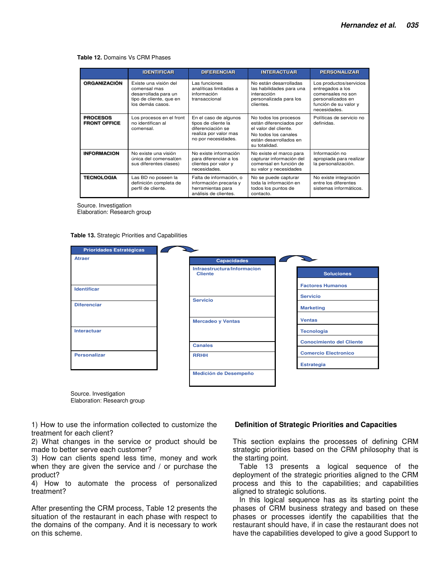#### **Table 12.** Domains Vs CRM Phases

|                                        | <b>IDENTIFICAR</b>                                                                                           | <b>DIFERENCIAR</b>                                                                                                | <b>INTERACTUAR</b>                                                                                                                           | <b>PERSONALIZAR</b>                                                                                                            |
|----------------------------------------|--------------------------------------------------------------------------------------------------------------|-------------------------------------------------------------------------------------------------------------------|----------------------------------------------------------------------------------------------------------------------------------------------|--------------------------------------------------------------------------------------------------------------------------------|
| <b>ORGANIZACIÓN</b>                    | Existe una visión del<br>comensal mas<br>desarrollada para un<br>tipo de cliente, que en<br>los demás casos. | Las funciones<br>analíticas limitadas a<br>información<br>transaccional                                           | No están desarrolladas<br>las habilidades para una<br>interacción<br>personalizada para los<br>clientes.                                     | Los productos/servicios<br>entregados a los<br>comensales no son<br>personalizados en<br>función de su valor y<br>necesidades. |
| <b>PROCESOS</b><br><b>FRONT OFFICE</b> | Los procesos en el front<br>no identifican al<br>comensal.                                                   | En el caso de algunos<br>tipos de cliente la<br>diferenciación se<br>realiza por valor mas<br>no por necesidades. | No todos los procesos<br>están diferenciados por<br>el valor del cliente.<br>No todos los canales<br>están desarrollados en<br>su totalidad. | Políticas de servicio no<br>definidas.                                                                                         |
| <b>INFORMACION</b>                     | No existe una visión<br>única del comensal(en<br>sus diferentes clases)                                      | No existe información<br>para diferenciar a los<br>clientes por valor y<br>necesidades.                           | No existe el marco para<br>capturar información del<br>comensal en función de<br>su valor y necesidades                                      | Información no<br>apropiada para realizar<br>la personalización.                                                               |
| <b>TECNOLOGIA</b>                      | Las BD no poseen la<br>definición completa de<br>perfil de cliente.                                          | Falta de información, o<br>información precaria y<br>herramientas para<br>análisis de clientes.                   | No se puede capturar<br>toda la información en<br>todos los puntos de<br>contacto.                                                           | No existe integración<br>entre los diferentes<br>sistemas informáticos.                                                        |

Source. Investigation

Elaboration: Research group

**Table 13.** Strategic Priorities and Capabilities

| <b>Prioridades Estratégicas</b> |                                               |                                 |
|---------------------------------|-----------------------------------------------|---------------------------------|
| <b>Atraer</b>                   | <b>Capacidades</b>                            |                                 |
|                                 | Infraestructura/Informacion<br><b>Cliente</b> | <b>Soluciones</b>               |
| <b>Identificar</b>              |                                               | <b>Factores Humanos</b>         |
|                                 | <b>Servicio</b>                               | <b>Servicio</b>                 |
| <b>Diferenciar</b>              |                                               | <b>Marketing</b>                |
|                                 | <b>Mercadeo y Ventas</b>                      | <b>Ventas</b>                   |
| <b>Interactuar</b>              |                                               | <b>Tecnologia</b>               |
|                                 | <b>Canales</b>                                | <b>Conocimiento del Cliente</b> |
| <b>Personalizar</b>             | <b>RRHH</b>                                   | <b>Comercio Electronico</b>     |
|                                 |                                               | <b>Estrategia</b>               |
|                                 | Medición de Desempeño                         |                                 |
|                                 |                                               |                                 |

Source. Investigation Elaboration: Research group

1) How to use the information collected to customize the treatment for each client?

2) What changes in the service or product should be made to better serve each customer?

3) How can clients spend less time, money and work when they are given the service and / or purchase the product?

4) How to automate the process of personalized treatment?

After presenting the CRM process, Table 12 presents the situation of the restaurant in each phase with respect to the domains of the company. And it is necessary to work on this scheme.

#### **Definition of Strategic Priorities and Capacities**

This section explains the processes of defining CRM strategic priorities based on the CRM philosophy that is the starting point.

Table 13 presents a logical sequence of the deployment of the strategic priorities aligned to the CRM process and this to the capabilities; and capabilities aligned to strategic solutions.

In this logical sequence has as its starting point the phases of CRM business strategy and based on these phases or processes identify the capabilities that the restaurant should have, if in case the restaurant does not have the capabilities developed to give a good Support to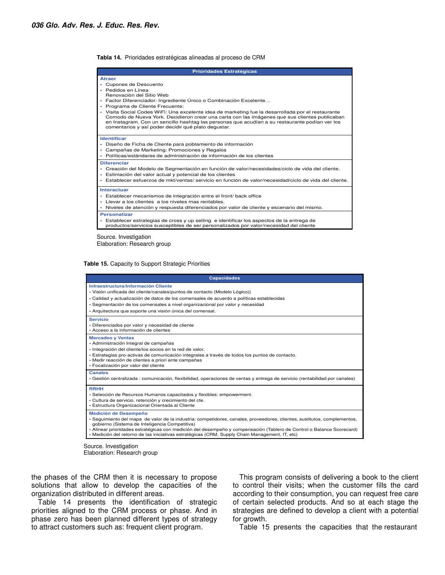**Tabla 14.** Prioridades estratégicas alineadas al proceso de CRM

| <b>Prioridades Estratégicas</b>                                                                                                                                                                                                                                                                                                                                                                                                                                                                                                                               |  |  |  |  |
|---------------------------------------------------------------------------------------------------------------------------------------------------------------------------------------------------------------------------------------------------------------------------------------------------------------------------------------------------------------------------------------------------------------------------------------------------------------------------------------------------------------------------------------------------------------|--|--|--|--|
| <b>Atraer</b><br>Cupones de Descuento<br>Pedidos en Línea<br>Renovación del Sitio Web<br>Factor Diferenciador: Ingrediente Único o Combinación Excelente<br>×<br>Programa de Cliente Frecuente:<br>Visita Social Codes WiFi: Una excelente idea de marketing fue la desarrollada por el restaurante<br>Comodo de Nueva York. Decidieron crear una carta con las imágenes que sus clientes publicaban<br>en Instagram. Con un sencillo hashtag las personas que acudían a su restaurante podían ver los<br>comentarios y así poder decidir qué plato dequstar. |  |  |  |  |
| <b>Identificar</b><br>Diseño de Ficha de Cliente para poblamiento de información<br>٠<br>Campañas de Marketing: Promociones y Regalos<br>Políticas/estándares de administración de información de los clientes                                                                                                                                                                                                                                                                                                                                                |  |  |  |  |
| <b>Diferenciar</b><br>Creación del Modelo de Segmentación en función de valor/necesidades/ciclo de vida del cliente.<br>Estimación del valor actual y potencial de los clientes<br>Establecer esfuerzos de mkt/ventas/ servicio en función de valor/necesidad/ciclo de vida del cliente.                                                                                                                                                                                                                                                                      |  |  |  |  |
| Interactuar<br>· Establecer mecanismos de integración entre el front/ back office<br>Llevar a los clientes a los niveles mas rentables.<br>Niveles de atención y respuesta diferenciados por valor de cliente y escenario del mismo.                                                                                                                                                                                                                                                                                                                          |  |  |  |  |
| <b>Personalizar</b><br>- Establecer estrategias de cross y up selling e identificar los aspectos de la entrega de<br>productos/servicios susceptibles de ser personalizados por valor/necesidad del cliente                                                                                                                                                                                                                                                                                                                                                   |  |  |  |  |
| Source. Investigation                                                                                                                                                                                                                                                                                                                                                                                                                                                                                                                                         |  |  |  |  |

Elaboration: Research group

**Table 15.** Capacity to Support Strategic Priorities

| <b>Capacidades</b>                                                                                                                                                                                                                                                                                                                                                                                                                    |
|---------------------------------------------------------------------------------------------------------------------------------------------------------------------------------------------------------------------------------------------------------------------------------------------------------------------------------------------------------------------------------------------------------------------------------------|
| Infraestructura/Información Cliente<br>- Visión unificada del cliente/canales/puntos de contacto (Modelo Lógico))<br>- Calidad y actualización de datos de los comensales de acuerdo a políticas establecidas<br>- Segmentación de los comensales a nivel organizacional por valor y necesidad<br>- Arquitectura que soporte una visión única del comensal.                                                                           |
| <b>Servicio</b><br>- Diferenciados por valor y necesidad de cliente<br>- Acceso a la información de clientes                                                                                                                                                                                                                                                                                                                          |
| <b>Mercadeo y Ventas</b><br>- Administración Integral de campañas<br>· Integración del cliente/los socios en la red de valor.<br>- Estrategias pro-activas de comunicación integrales a través de todos los puntos de contacto.<br>- Medir reacción de clientes a priori ante campañas<br>- Focalización por valor del cliente                                                                                                        |
| <b>Canales</b><br>- Gestión centralizada : comunicación, flexibilidad, operaciones de ventas y entrega de servicio (rentabilidad por canales)                                                                                                                                                                                                                                                                                         |
| <b>RRHH</b><br>- Selección de Recursos Humanos capacitados y flexibles: empowerment.<br>- Cultura de servicio, retención y crecimiento del cte.<br>- Estructura Organizacional Orientada al Cliente                                                                                                                                                                                                                                   |
| <b>Medición de Desempeño</b><br>- Sequimiento del mapa de valor de la industria: competidores, canales, proveedores, clientes, sustitutos, complementos,<br>gobierno (Sistema de Inteligencia Competitiva)<br>• Alinear prioridades estratégicas con medición del desempeño y compensación (Tablero de Control o Balance Scorecard)<br>- Medición del retorno de las iniciativas estratégicas (CRM, Supply Chain Management, IT, etc) |

Source. Investigation Elaboration: Research group

the phases of the CRM then it is necessary to propose solutions that allow to develop the capacities of the organization distributed in different areas.

Table 14 presents the identification of strategic priorities aligned to the CRM process or phase. And in phase zero has been planned different types of strategy to attract customers such as: frequent client program.

This program consists of delivering a book to the client to control their visits; when the customer fills the card according to their consumption, you can request free care of certain selected products. And so at each stage the strategies are defined to develop a client with a potential for growth.

Table 15 presents the capacities that the restaurant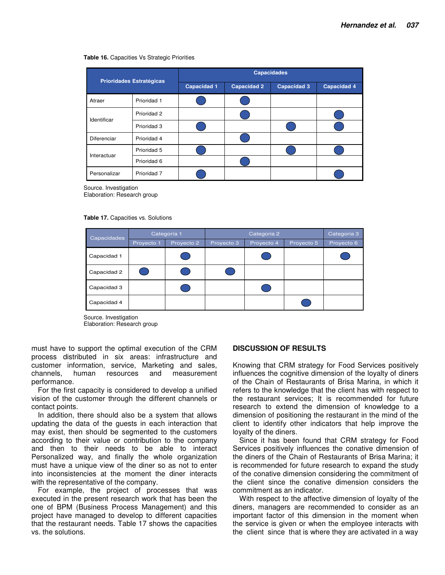#### **Table 16.** Capacities Vs Strategic Priorities

| <b>Prioridades Estratégicas</b> |             | <b>Capacidades</b> |                    |                    |                    |  |
|---------------------------------|-------------|--------------------|--------------------|--------------------|--------------------|--|
|                                 |             | <b>Capacidad 1</b> | <b>Capacidad 2</b> | <b>Capacidad 3</b> | <b>Capacidad 4</b> |  |
| Atraer                          | Prioridad 1 |                    |                    |                    |                    |  |
| Identificar                     | Prioridad 2 |                    |                    |                    |                    |  |
|                                 | Prioridad 3 |                    |                    |                    |                    |  |
| Diferenciar                     | Prioridad 4 |                    |                    |                    |                    |  |
| Interactuar                     | Prioridad 5 |                    |                    |                    |                    |  |
|                                 | Prioridad 6 |                    |                    |                    |                    |  |
| Personalizar                    | Prioridad 7 |                    |                    |                    |                    |  |

Source. Investigation

Elaboration: Research group

**Table 17.** Capacities vs. Solutions

| Capacidades | Categoría 1 |            | Categoria 2 |            |            | Categoria 3 |
|-------------|-------------|------------|-------------|------------|------------|-------------|
|             | Proyecto 1  | Proyecto 2 | Proyecto 3  | Proyecto 4 | Proyecto 5 | Proyecto 6  |
| Capacidad 1 |             |            |             |            |            |             |
| Capacidad 2 |             |            |             |            |            |             |
| Capacidad 3 |             |            |             |            |            |             |
| Capacidad 4 |             |            |             |            |            |             |

Source. Investigation Elaboration: Research group

must have to support the optimal execution of the CRM process distributed in six areas: infrastructure and customer information, service, Marketing and sales, channels, human resources and measurement performance.

For the first capacity is considered to develop a unified vision of the customer through the different channels or contact points.

In addition, there should also be a system that allows updating the data of the guests in each interaction that may exist, then should be segmented to the customers according to their value or contribution to the company and then to their needs to be able to interact Personalized way, and finally the whole organization must have a unique view of the diner so as not to enter into inconsistencies at the moment the diner interacts with the representative of the company.

For example, the project of processes that was executed in the present research work that has been the one of BPM (Business Process Management) and this project have managed to develop to different capacities that the restaurant needs. Table 17 shows the capacities vs. the solutions.

#### **DISCUSSION OF RESULTS**

Knowing that CRM strategy for Food Services positively influences the cognitive dimension of the loyalty of diners of the Chain of Restaurants of Brisa Marina, in which it refers to the knowledge that the client has with respect to the restaurant services; It is recommended for future research to extend the dimension of knowledge to a dimension of positioning the restaurant in the mind of the client to identify other indicators that help improve the loyalty of the diners.

Since it has been found that CRM strategy for Food Services positively influences the conative dimension of the diners of the Chain of Restaurants of Brisa Marina; it is recommended for future research to expand the study of the conative dimension considering the commitment of the client since the conative dimension considers the commitment as an indicator.

With respect to the affective dimension of loyalty of the diners, managers are recommended to consider as an important factor of this dimension in the moment when the service is given or when the employee interacts with the client since that is where they are activated in a way